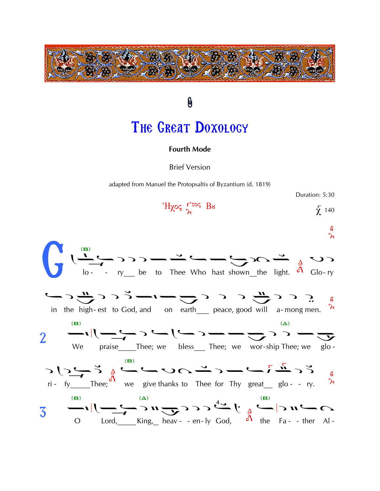

0 THE GREAT DOXOLOGY

**Fourth Mode** 

**Brief Version** 

adapted from Manuel the Protopsaltis of Byzantium (d. 1819)

Duration: 5:30

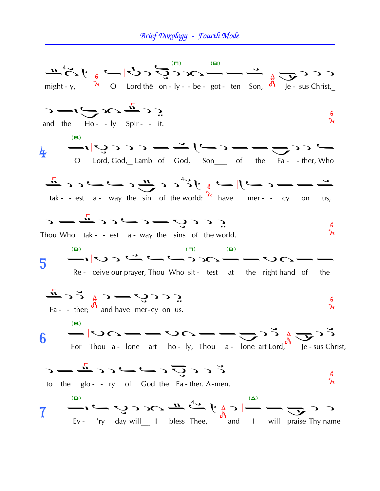## Brief Doxology - Fourth Mode

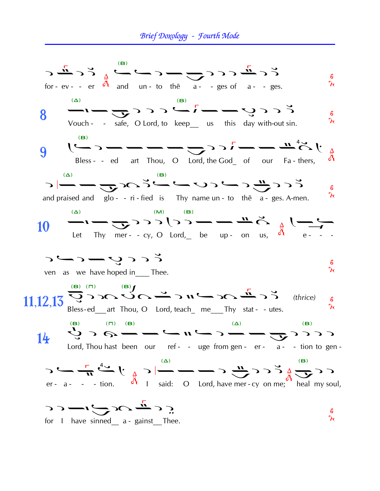## Brief Doxology - Fourth Mode

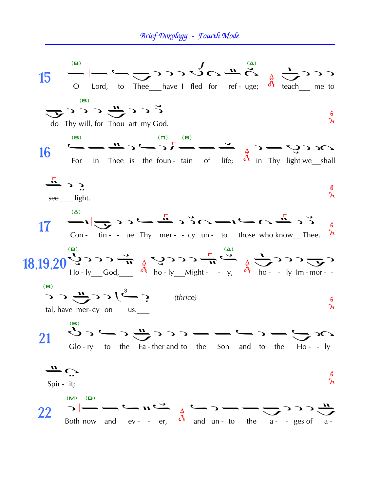